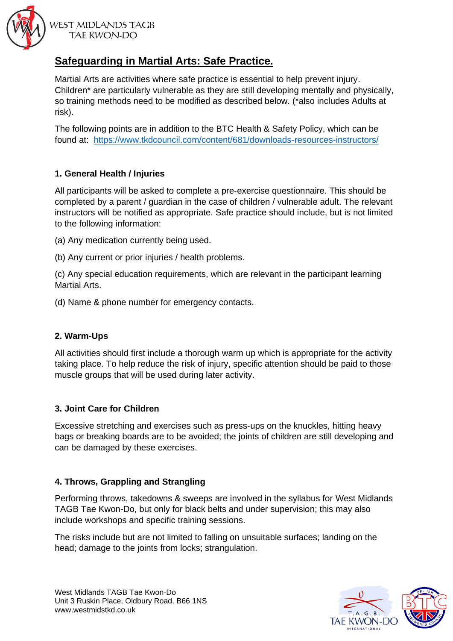

**WEST MIDLANDS TAGB** TAE KWON-DO

# **Safeguarding in Martial Arts: Safe Practice.**

Martial Arts are activities where safe practice is essential to help prevent injury. Children\* are particularly vulnerable as they are still developing mentally and physically, so training methods need to be modified as described below. (\*also includes Adults at risk).

The following points are in addition to the BTC Health & Safety Policy, which can be found at: <https://www.tkdcouncil.com/content/681/downloads-resources-instructors/>

## **1. General Health / Injuries**

All participants will be asked to complete a pre‐exercise questionnaire. This should be completed by a parent / guardian in the case of children / vulnerable adult. The relevant instructors will be notified as appropriate. Safe practice should include, but is not limited to the following information:

- (a) Any medication currently being used.
- (b) Any current or prior injuries / health problems.

(c) Any special education requirements, which are relevant in the participant learning Martial Arts.

(d) Name & phone number for emergency contacts.

## **2. Warm-Ups**

All activities should first include a thorough warm up which is appropriate for the activity taking place. To help reduce the risk of injury, specific attention should be paid to those muscle groups that will be used during later activity.

## **3. Joint Care for Children**

Excessive stretching and exercises such as press‐ups on the knuckles, hitting heavy bags or breaking boards are to be avoided; the joints of children are still developing and can be damaged by these exercises.

#### **4. Throws, Grappling and Strangling**

Performing throws, takedowns & sweeps are involved in the syllabus for West Midlands TAGB Tae Kwon-Do, but only for black belts and under supervision; this may also include workshops and specific training sessions.

The risks include but are not limited to falling on unsuitable surfaces; landing on the head; damage to the joints from locks; strangulation.

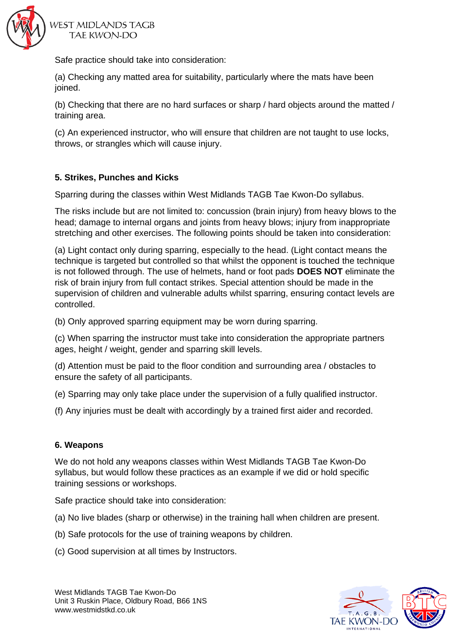

**WEST MIDLANDS TAGB TAE KWON-DO** 

Safe practice should take into consideration:

(a) Checking any matted area for suitability, particularly where the mats have been ioined.

(b) Checking that there are no hard surfaces or sharp / hard objects around the matted / training area.

(c) An experienced instructor, who will ensure that children are not taught to use locks, throws, or strangles which will cause injury.

#### **5. Strikes, Punches and Kicks**

Sparring during the classes within West Midlands TAGB Tae Kwon-Do syllabus.

The risks include but are not limited to: concussion (brain injury) from heavy blows to the head; damage to internal organs and joints from heavy blows; injury from inappropriate stretching and other exercises. The following points should be taken into consideration:

(a) Light contact only during sparring, especially to the head. (Light contact means the technique is targeted but controlled so that whilst the opponent is touched the technique is not followed through. The use of helmets, hand or foot pads **DOES NOT** eliminate the risk of brain injury from full contact strikes. Special attention should be made in the supervision of children and vulnerable adults whilst sparring, ensuring contact levels are controlled.

(b) Only approved sparring equipment may be worn during sparring.

(c) When sparring the instructor must take into consideration the appropriate partners ages, height / weight, gender and sparring skill levels.

(d) Attention must be paid to the floor condition and surrounding area / obstacles to ensure the safety of all participants.

(e) Sparring may only take place under the supervision of a fully qualified instructor.

(f) Any injuries must be dealt with accordingly by a trained first aider and recorded.

#### **6. Weapons**

We do not hold any weapons classes within West Midlands TAGB Tae Kwon-Do syllabus, but would follow these practices as an example if we did or hold specific training sessions or workshops.

Safe practice should take into consideration:

- (a) No live blades (sharp or otherwise) in the training hall when children are present.
- (b) Safe protocols for the use of training weapons by children.
- (c) Good supervision at all times by Instructors.